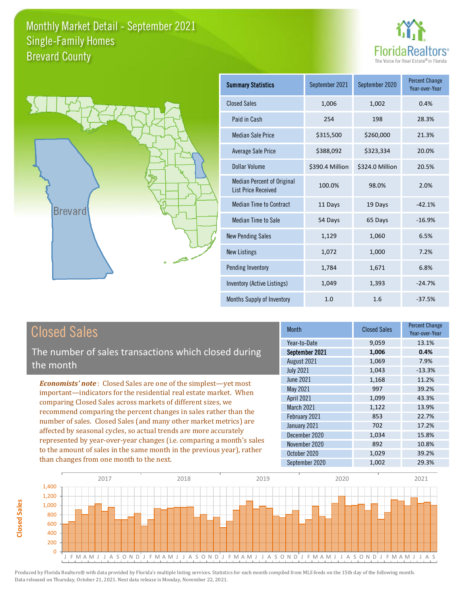



| <b>Summary Statistics</b>                                       | September 2021  | September 2020  | <b>Percent Change</b><br>Year-over-Year |
|-----------------------------------------------------------------|-----------------|-----------------|-----------------------------------------|
| <b>Closed Sales</b>                                             | 1,006           | 1,002           | 0.4%                                    |
| Paid in Cash                                                    | 254             | 198             | 28.3%                                   |
| <b>Median Sale Price</b>                                        | \$315,500       | \$260,000       | 21.3%                                   |
| <b>Average Sale Price</b>                                       | \$388,092       | \$323,334       | 20.0%                                   |
| Dollar Volume                                                   | \$390.4 Million | \$324.0 Million | 20.5%                                   |
| <b>Median Percent of Original</b><br><b>List Price Received</b> | 100.0%          | 98.0%           | 2.0%                                    |
| <b>Median Time to Contract</b>                                  | 11 Days         | 19 Days         | $-42.1%$                                |
| <b>Median Time to Sale</b>                                      | 54 Days         | 65 Days         | $-16.9%$                                |
| <b>New Pending Sales</b>                                        | 1,129           | 1,060           | 6.5%                                    |
| <b>New Listings</b>                                             | 1,072           | 1,000           | 7.2%                                    |
| Pending Inventory                                               | 1,784           | 1,671           | 6.8%                                    |
| Inventory (Active Listings)                                     | 1,049           | 1,393           | $-24.7%$                                |
| Months Supply of Inventory                                      | 1.0             | 1.6             | $-37.5%$                                |

# Closed Sales

The number of sales transactions which closed during the month

*Economists' note* : Closed Sales are one of the simplest—yet most important—indicators for the residential real estate market. When comparing Closed Sales across markets of different sizes, we recommend comparing the percent changes in sales rather than the number of sales. Closed Sales (and many other market metrics) are affected by seasonal cycles, so actual trends are more accurately represented by year-over-year changes (i.e. comparing a month's sales to the amount of sales in the same month in the previous year), rather than changes from one month to the next.

| <b>Month</b>     | <b>Closed Sales</b> | <b>Percent Change</b><br>Year-over-Year |
|------------------|---------------------|-----------------------------------------|
| Year-to-Date     | 9,059               | 13.1%                                   |
| September 2021   | 1,006               | 0.4%                                    |
| August 2021      | 1,069               | 7.9%                                    |
| <b>July 2021</b> | 1,043               | $-13.3%$                                |
| <b>June 2021</b> | 1,168               | 11.2%                                   |
| <b>May 2021</b>  | 997                 | 39.2%                                   |
| April 2021       | 1,099               | 43.3%                                   |
| March 2021       | 1,122               | 13.9%                                   |
| February 2021    | 853                 | 22.7%                                   |
| January 2021     | 702                 | 17.2%                                   |
| December 2020    | 1,034               | 15.8%                                   |
| November 2020    | 892                 | 10.8%                                   |
| October 2020     | 1,029               | 39.2%                                   |
| September 2020   | 1,002               | 29.3%                                   |

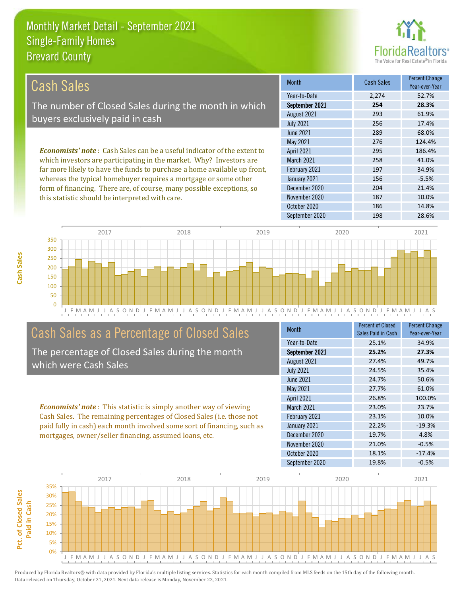this statistic should be interpreted with care.



187 10.0%

| Cash Sales                                                                     | <b>Month</b>      | <b>Cash Sales</b> | <b>Percent Change</b><br>Year-over-Year |
|--------------------------------------------------------------------------------|-------------------|-------------------|-----------------------------------------|
|                                                                                | Year-to-Date      | 2.274             | 52.7%                                   |
| The number of Closed Sales during the month in which                           | September 2021    | 254               | 28.3%                                   |
| buyers exclusively paid in cash                                                | August 2021       | 293               | 61.9%                                   |
|                                                                                | <b>July 2021</b>  | 256               | 17.4%                                   |
|                                                                                | June 2021         | 289               | 68.0%                                   |
|                                                                                | May 2021          | 276               | 124.4%                                  |
| <b>Economists' note:</b> Cash Sales can be a useful indicator of the extent to | <b>April 2021</b> | 295               | 186.4%                                  |
| which investors are participating in the market. Why? Investors are            | <b>March 2021</b> | 258               | 41.0%                                   |
| far more likely to have the funds to purchase a home available up front,       | February 2021     | 197               | 34.9%                                   |
| whereas the typical homebuyer requires a mortgage or some other                | January 2021      | 156               | $-5.5%$                                 |
| form of financing. There are, of course, many possible exceptions, so          | December 2020     | 204               | 21.4%                                   |



## Cash Sales as a Percentage of Closed Sales

The percentage of Closed Sales during the month which were Cash Sales

*Economists' note* : This statistic is simply another way of viewing Cash Sales. The remaining percentages of Closed Sales (i.e. those not paid fully in cash) each month involved some sort of financing, such as mortgages, owner/seller financing, assumed loans, etc.

| Month             | <b>Percent of Closed</b><br>Sales Paid in Cash | <b>Percent Change</b><br>Year-over-Year |
|-------------------|------------------------------------------------|-----------------------------------------|
| Year-to-Date      | 25.1%                                          | 34.9%                                   |
| September 2021    | 25.2%                                          | 27.3%                                   |
| August 2021       | 27.4%                                          | 49.7%                                   |
| <b>July 2021</b>  | 24.5%                                          | 35.4%                                   |
| <b>June 2021</b>  | 24.7%                                          | 50.6%                                   |
| May 2021          | 27.7%                                          | 61.0%                                   |
| <b>April 2021</b> | 26.8%                                          | 100.0%                                  |
| March 2021        | 23.0%                                          | 23.7%                                   |
| February 2021     | 23.1%                                          | 10.0%                                   |
| January 2021      | 22.2%                                          | $-19.3%$                                |
| December 2020     | 19.7%                                          | 4.8%                                    |
| November 2020     | 21.0%                                          | $-0.5%$                                 |
| October 2020      | 18.1%                                          | $-17.4%$                                |
| September 2020    | 19.8%                                          | $-0.5%$                                 |

October 2020 186 14.8%

November 2020

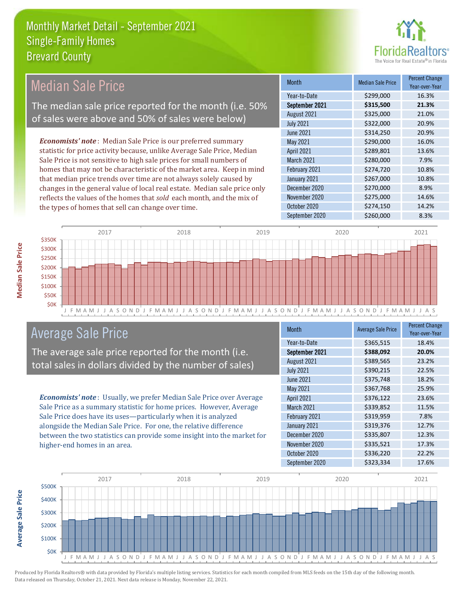

## Median Sale Price

The median sale price reported for the month (i.e. 50% of sales were above and 50% of sales were below)

*Economists' note* : Median Sale Price is our preferred summary statistic for price activity because, unlike Average Sale Price, Median Sale Price is not sensitive to high sale prices for small numbers of homes that may not be characteristic of the market area. Keep in mind that median price trends over time are not always solely caused by changes in the general value of local real estate. Median sale price only reflects the values of the homes that *sold* each month, and the mix of the types of homes that sell can change over time.

| <b>Month</b>      | <b>Median Sale Price</b> | <b>Percent Change</b><br>Year-over-Year |
|-------------------|--------------------------|-----------------------------------------|
| Year-to-Date      | \$299,000                | 16.3%                                   |
| September 2021    | \$315,500                | 21.3%                                   |
| August 2021       | \$325,000                | 21.0%                                   |
| <b>July 2021</b>  | \$322,000                | 20.9%                                   |
| <b>June 2021</b>  | \$314,250                | 20.9%                                   |
| May 2021          | \$290,000                | 16.0%                                   |
| <b>April 2021</b> | \$289,801                | 13.6%                                   |
| March 2021        | \$280,000                | 7.9%                                    |
| February 2021     | \$274,720                | 10.8%                                   |
| January 2021      | \$267,000                | 10.8%                                   |
| December 2020     | \$270,000                | 8.9%                                    |
| November 2020     | \$275,000                | 14.6%                                   |
| October 2020      | \$274,150                | 14.2%                                   |
| September 2020    | \$260,000                | 8.3%                                    |



### Average Sale Price

The average sale price reported for the month (i.e. total sales in dollars divided by the number of sales)

*Economists' note* : Usually, we prefer Median Sale Price over Average Sale Price as a summary statistic for home prices. However, Average Sale Price does have its uses—particularly when it is analyzed alongside the Median Sale Price. For one, the relative difference between the two statistics can provide some insight into the market for higher-end homes in an area.

| <b>Month</b>     | <b>Average Sale Price</b> | <b>Percent Change</b><br>Year-over-Year |
|------------------|---------------------------|-----------------------------------------|
| Year-to-Date     | \$365,515                 | 18.4%                                   |
| September 2021   | \$388,092                 | 20.0%                                   |
| August 2021      | \$389,565                 | 23.2%                                   |
| <b>July 2021</b> | \$390,215                 | 22.5%                                   |
| <b>June 2021</b> | \$375,748                 | 18.2%                                   |
| <b>May 2021</b>  | \$367,768                 | 25.9%                                   |
| April 2021       | \$376,122                 | 23.6%                                   |
| March 2021       | \$339,852                 | 11.5%                                   |
| February 2021    | \$319,959                 | 7.8%                                    |
| January 2021     | \$319,376                 | 12.7%                                   |
| December 2020    | \$335,807                 | 12.3%                                   |
| November 2020    | \$335,521                 | 17.3%                                   |
| October 2020     | \$336,220                 | 22.2%                                   |
| September 2020   | \$323,334                 | 17.6%                                   |

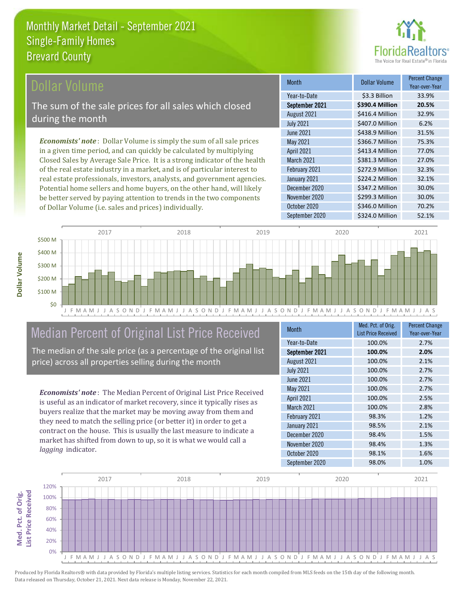

### ollar Volume

The sum of the sale prices for all sales which closed during the month

*Economists' note* : Dollar Volume is simply the sum of all sale prices in a given time period, and can quickly be calculated by multiplying Closed Sales by Average Sale Price. It is a strong indicator of the health of the real estate industry in a market, and is of particular interest to real estate professionals, investors, analysts, and government agencies. Potential home sellers and home buyers, on the other hand, will likely be better served by paying attention to trends in the two components of Dollar Volume (i.e. sales and prices) individually.

| <b>Month</b>      | Dollar Volume   | <b>Percent Change</b><br>Year-over-Year |
|-------------------|-----------------|-----------------------------------------|
| Year-to-Date      | \$3.3 Billion   | 33.9%                                   |
| September 2021    | \$390.4 Million | 20.5%                                   |
| August 2021       | \$416.4 Million | 32.9%                                   |
| <b>July 2021</b>  | \$407.0 Million | 6.2%                                    |
| <b>June 2021</b>  | \$438.9 Million | 31.5%                                   |
| <b>May 2021</b>   | \$366.7 Million | 75.3%                                   |
| <b>April 2021</b> | \$413.4 Million | 77.0%                                   |
| March 2021        | \$381.3 Million | 27.0%                                   |
| February 2021     | \$272.9 Million | 32.3%                                   |
| January 2021      | \$224.2 Million | 32.1%                                   |
| December 2020     | \$347.2 Million | 30.0%                                   |
| November 2020     | \$299.3 Million | 30.0%                                   |
| October 2020      | \$346.0 Million | 70.2%                                   |
| September 2020    | \$324.0 Million | 52.1%                                   |



# Median Percent of Original List Price Received

The median of the sale price (as a percentage of the original list price) across all properties selling during the month

*Economists' note* : The Median Percent of Original List Price Received is useful as an indicator of market recovery, since it typically rises as buyers realize that the market may be moving away from them and they need to match the selling price (or better it) in order to get a contract on the house. This is usually the last measure to indicate a market has shifted from down to up, so it is what we would call a *lagging* indicator.

| <b>Month</b>     | Med. Pct. of Orig.<br><b>List Price Received</b> | <b>Percent Change</b><br>Year-over-Year |
|------------------|--------------------------------------------------|-----------------------------------------|
| Year-to-Date     | 100.0%                                           | 2.7%                                    |
| September 2021   | 100.0%                                           | 2.0%                                    |
| August 2021      | 100.0%                                           | 2.1%                                    |
| <b>July 2021</b> | 100.0%                                           | 2.7%                                    |
| <b>June 2021</b> | 100.0%                                           | 2.7%                                    |
| May 2021         | 100.0%                                           | 2.7%                                    |
| April 2021       | 100.0%                                           | 2.5%                                    |
| March 2021       | 100.0%                                           | 2.8%                                    |
| February 2021    | 98.3%                                            | 1.2%                                    |
| January 2021     | 98.5%                                            | 2.1%                                    |
| December 2020    | 98.4%                                            | 1.5%                                    |
| November 2020    | 98.4%                                            | 1.3%                                    |
| October 2020     | 98.1%                                            | 1.6%                                    |
| September 2020   | 98.0%                                            | 1.0%                                    |



**Dollar Volume**

**Med. Pct. of Orig.** 

Med. Pct. of Orig.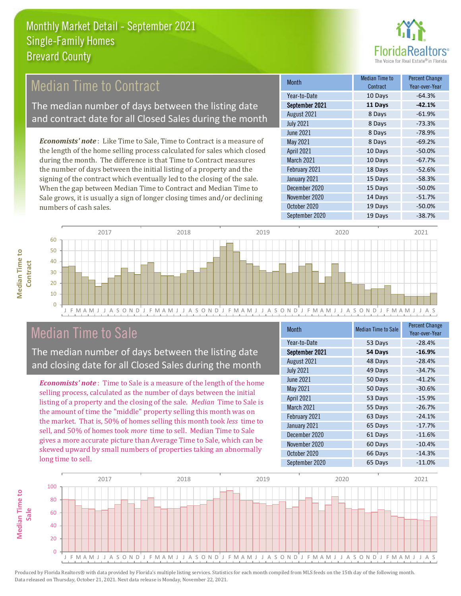

## Median Time to Contract

The median number of days between the listing date and contract date for all Closed Sales during the month

*Economists' note* : Like Time to Sale, Time to Contract is a measure of the length of the home selling process calculated for sales which closed during the month. The difference is that Time to Contract measures the number of days between the initial listing of a property and the signing of the contract which eventually led to the closing of the sale. When the gap between Median Time to Contract and Median Time to Sale grows, it is usually a sign of longer closing times and/or declining numbers of cash sales.

| <b>Month</b>      | Median Time to<br>Contract | <b>Percent Change</b><br>Year-over-Year |
|-------------------|----------------------------|-----------------------------------------|
| Year-to-Date      | 10 Days                    | $-64.3%$                                |
| September 2021    | 11 Days                    | $-42.1%$                                |
| August 2021       | 8 Days                     | $-61.9%$                                |
| <b>July 2021</b>  | 8 Days                     | $-73.3%$                                |
| <b>June 2021</b>  | 8 Days                     | $-78.9%$                                |
| May 2021          | 8 Days                     | $-69.2%$                                |
| <b>April 2021</b> | 10 Days                    | $-50.0%$                                |
| March 2021        | 10 Days                    | $-67.7%$                                |
| February 2021     | 18 Days                    | $-52.6%$                                |
| January 2021      | 15 Days                    | $-58.3%$                                |
| December 2020     | 15 Days                    | $-50.0%$                                |
| November 2020     | 14 Days                    | $-51.7%$                                |
| October 2020      | 19 Days                    | $-50.0%$                                |
| September 2020    | 19 Days                    | $-38.7%$                                |



| _____<br>____<br>_<br>__                                  | __<br>_______________<br>____<br>____           | _<br>____                                       |  |
|-----------------------------------------------------------|-------------------------------------------------|-------------------------------------------------|--|
| ___<br>____<br>____<br>____<br>____<br>____<br>___<br>___ | ____<br>____<br>_<br>_____<br>____<br>___       | ____<br>_______<br>_____                        |  |
| ____<br>_<br>_<br>____<br>__<br>_____<br>___<br>_         | ___<br>____<br>_<br>_<br>_____<br>___<br>_<br>_ | ___<br>____<br>_<br>_<br>_<br>__<br>_<br>_<br>_ |  |
|                                                           |                                                 |                                                 |  |

J F M A M J J A S O N D J F M A M J J A S O N D J F M A M J J A S O N D J F M A M J J A S O N D J F M A M J J A S

# Median Time to Sale

The median number of days between the listing date and closing date for all Closed Sales during the month

*Economists' note* : Time to Sale is a measure of the length of the home selling process, calculated as the number of days between the initial listing of a property and the closing of the sale. *Median* Time to Sale is the amount of time the "middle" property selling this month was on the market. That is, 50% of homes selling this month took *less* time to sell, and 50% of homes took *more* time to sell. Median Time to Sale gives a more accurate picture than Average Time to Sale, which can be skewed upward by small numbers of properties taking an abnormally long time to sell.

| <b>Month</b>     | <b>Median Time to Sale</b> | <b>Percent Change</b><br>Year-over-Year |
|------------------|----------------------------|-----------------------------------------|
| Year-to-Date     | 53 Days                    | $-28.4%$                                |
| September 2021   | 54 Days                    | $-16.9%$                                |
| August 2021      | 48 Days                    | $-28.4%$                                |
| <b>July 2021</b> | 49 Days                    | $-34.7%$                                |
| <b>June 2021</b> | 50 Days                    | $-41.2%$                                |
| May 2021         | 50 Days                    | $-30.6%$                                |
| April 2021       | 53 Days                    | $-15.9%$                                |
| March 2021       | 55 Days                    | $-26.7%$                                |
| February 2021    | 63 Days                    | $-24.1%$                                |
| January 2021     | 65 Days                    | $-17.7%$                                |
| December 2020    | 61 Days                    | $-11.6%$                                |
| November 2020    | 60 Days                    | $-10.4%$                                |
| October 2020     | 66 Days                    | $-14.3%$                                |
| September 2020   | 65 Days                    | $-11.0%$                                |

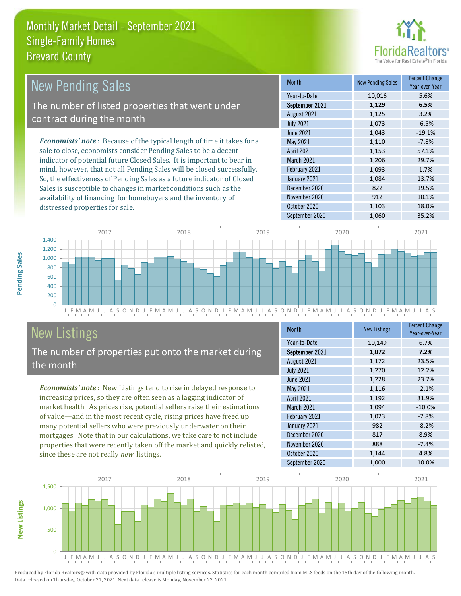

| <b>New Pending Sales</b>                                                      | <b>Month</b>      | <b>New Pending Sales</b> | <b>Percent Change</b><br>Year-over-Year |
|-------------------------------------------------------------------------------|-------------------|--------------------------|-----------------------------------------|
|                                                                               | Year-to-Date      | 10,016                   | 5.6%                                    |
| The number of listed properties that went under                               | September 2021    | 1,129                    | 6.5%                                    |
| contract during the month                                                     | August 2021       | 1,125                    | 3.2%                                    |
|                                                                               | <b>July 2021</b>  | 1,073                    | $-6.5%$                                 |
|                                                                               | June 2021         | 1,043                    | $-19.1%$                                |
| <b>Economists' note:</b> Because of the typical length of time it takes for a | May 2021          | 1,110                    | $-7.8%$                                 |
| sale to close, economists consider Pending Sales to be a decent               | <b>April 2021</b> | 1,153                    | 57.1%                                   |
| indicator of potential future Closed Sales. It is important to bear in        | <b>March 2021</b> | 1,206                    | 29.7%                                   |
| mind, however, that not all Pending Sales will be closed successfully.        | February 2021     | 1,093                    | 1.7%                                    |
| So, the effectiveness of Pending Sales as a future indicator of Closed        | January 2021      | 1,084                    | 13.7%                                   |
| Sales is susceptible to changes in market conditions such as the              | December 2020     | 822                      | 19.5%                                   |
| availability of financing for homebuyers and the inventory of                 | November 2020     | 912                      | 10.1%                                   |



# New Listings

distressed properties for sale.

The number of properties put onto the market during the month

*Economists' note* : New Listings tend to rise in delayed response to increasing prices, so they are often seen as a lagging indicator of market health. As prices rise, potential sellers raise their estimations of value—and in the most recent cycle, rising prices have freed up many potential sellers who were previously underwater on their mortgages. Note that in our calculations, we take care to not include properties that were recently taken off the market and quickly relisted, since these are not really *new* listings.

| <b>Month</b>      | <b>New Listings</b> | <b>Percent Change</b><br>Year-over-Year |
|-------------------|---------------------|-----------------------------------------|
| Year-to-Date      | 10,149              | 6.7%                                    |
| September 2021    | 1,072               | 7.2%                                    |
| August 2021       | 1,172               | 23.5%                                   |
| <b>July 2021</b>  | 1,270               | 12.2%                                   |
| <b>June 2021</b>  | 1,228               | 23.7%                                   |
| May 2021          | 1,116               | $-2.1%$                                 |
| <b>April 2021</b> | 1,192               | 31.9%                                   |
| March 2021        | 1,094               | $-10.0%$                                |
| February 2021     | 1,023               | $-7.8%$                                 |
| January 2021      | 982                 | $-8.2%$                                 |
| December 2020     | 817                 | 8.9%                                    |
| November 2020     | 888                 | $-7.4%$                                 |
| October 2020      | 1,144               | 4.8%                                    |
| September 2020    | 1,000               | 10.0%                                   |

September 2020 1,060 35.2%

October 2020 1,103 18.0%



Produced by Florida Realtors® with data provided by Florida's multiple listing services. Statistics for each month compiled from MLS feeds on the 15th day of the following month. Data released on Thursday, October 21, 2021. Next data release is Monday, November 22, 2021.

**New Listings**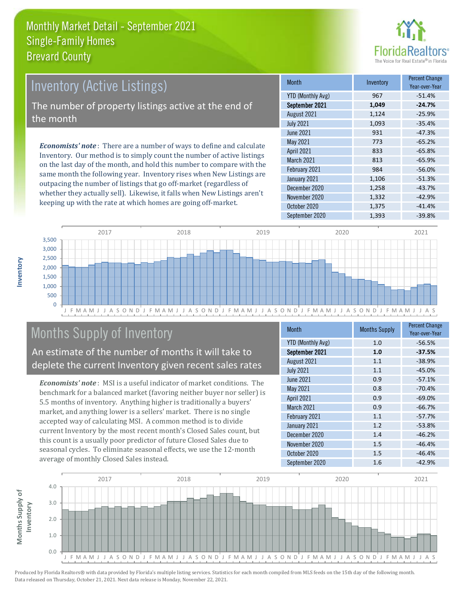

# *Economists' note* : There are a number of ways to define and calculate Inventory (Active Listings) The number of property listings active at the end of the month

Inventory. Our method is to simply count the number of active listings on the last day of the month, and hold this number to compare with the same month the following year. Inventory rises when New Listings are outpacing the number of listings that go off-market (regardless of whether they actually sell). Likewise, it falls when New Listings aren't keeping up with the rate at which homes are going off-market.

| Month                    | Inventory | <b>Percent Change</b><br>Year-over-Year |
|--------------------------|-----------|-----------------------------------------|
| <b>YTD (Monthly Avg)</b> | 967       | $-51.4%$                                |
| September 2021           | 1,049     | $-24.7%$                                |
| August 2021              | 1,124     | $-25.9%$                                |
| <b>July 2021</b>         | 1,093     | $-35.4%$                                |
| <b>June 2021</b>         | 931       | $-47.3%$                                |
| May 2021                 | 773       | $-65.2%$                                |
| <b>April 2021</b>        | 833       | $-65.8%$                                |
| March 2021               | 813       | $-65.9%$                                |
| February 2021            | 984       | $-56.0%$                                |
| January 2021             | 1,106     | $-51.3%$                                |
| December 2020            | 1,258     | $-43.7%$                                |
| November 2020            | 1,332     | $-42.9%$                                |
| October 2020             | 1,375     | $-41.4%$                                |
| September 2020           | 1,393     | $-39.8%$                                |



# Months Supply of Inventory

An estimate of the number of months it will take to deplete the current Inventory given recent sales rates

*Economists' note* : MSI is a useful indicator of market conditions. The benchmark for a balanced market (favoring neither buyer nor seller) is 5.5 months of inventory. Anything higher is traditionally a buyers' market, and anything lower is a sellers' market. There is no single accepted way of calculating MSI. A common method is to divide current Inventory by the most recent month's Closed Sales count, but this count is a usually poor predictor of future Closed Sales due to seasonal cycles. To eliminate seasonal effects, we use the 12-month average of monthly Closed Sales instead.

| <b>Month</b>             | <b>Months Supply</b> | <b>Percent Change</b><br>Year-over-Year |
|--------------------------|----------------------|-----------------------------------------|
| <b>YTD (Monthly Avg)</b> | 1.0                  | $-56.5%$                                |
| September 2021           | 1.0                  | $-37.5%$                                |
| August 2021              | 1.1                  | $-38.9%$                                |
| <b>July 2021</b>         | 1.1                  | $-45.0%$                                |
| June 2021                | 0.9                  | $-57.1%$                                |
| May 2021                 | 0.8                  | $-70.4%$                                |
| <b>April 2021</b>        | 0.9                  | $-69.0%$                                |
| <b>March 2021</b>        | 0.9                  | $-66.7%$                                |
| February 2021            | 1.1                  | $-57.7%$                                |
| January 2021             | 1.2                  | $-53.8%$                                |
| December 2020            | 1.4                  | $-46.2%$                                |
| November 2020            | 1.5                  | $-46.4%$                                |
| October 2020             | 1.5                  | $-46.4%$                                |
| September 2020           | 1.6                  | $-42.9%$                                |

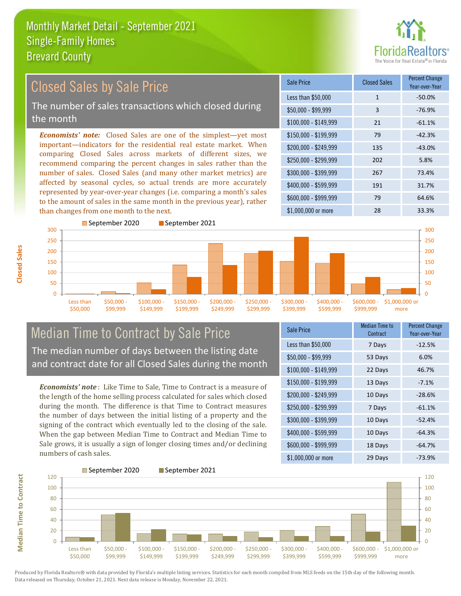

#### $$100,000 - $149,999$  21  $-61.1\%$ Sale Price Closed Sales Percent Change Year-over-Year Less than \$50,000 1 1 -50.0%  $$50.000 - $99.999$  3 -76.9% \$150,000 - \$199,999 79 -42.3% \$200,000 - \$249,999 135 -43.0% \$400,000 - \$599,999 191 31.7% \$600,000 - \$999,999 79 64.6% *Economists' note:* Closed Sales are one of the simplest—yet most important—indicators for the residential real estate market. When comparing Closed Sales across markets of different sizes, we recommend comparing the percent changes in sales rather than the number of sales. Closed Sales (and many other market metrics) are affected by seasonal cycles, so actual trends are more accurately represented by year-over-year changes (i.e. comparing a month's sales to the amount of sales in the same month in the previous year), rather than changes from one month to the next. \$1,000,000 or more 28 28 33.3% \$250,000 - \$299,999 202 5.8% \$300,000 - \$399,999 267 73.4% 250 300 September 2020 September 2021 200 250 300 Closed Sales by Sale Price The number of sales transactions which closed during the month

#### $\Omega$ 50 100 150 200 Less than \$50,000 \$50,000 \$99,999 \$100,000 \$149,999 \$150,000 - \$199,999 \$200,000 - \$249,999 \$250,000 - \$299,999 \$300,000 - \$399,999 \$400,000 - \$599,999 \$600,000 - \$999,999 \$1,000,000 or more

#### Median Time to Contract by Sale Price The median number of days between the listing date and contract date for all Closed Sales during the month

*Economists' note* : Like Time to Sale, Time to Contract is a measure of the length of the home selling process calculated for sales which closed during the month. The difference is that Time to Contract measures the number of days between the initial listing of a property and the signing of the contract which eventually led to the closing of the sale. When the gap between Median Time to Contract and Median Time to Sale grows, it is usually a sign of longer closing times and/or declining numbers of cash sales.

| Sale Price            | Median Time to<br>Contract | <b>Percent Change</b><br>Year-over-Year |
|-----------------------|----------------------------|-----------------------------------------|
| Less than \$50,000    | 7 Days                     | $-12.5%$                                |
| $$50,000 - $99,999$   | 53 Days                    | 6.0%                                    |
| $$100,000 - $149,999$ | 22 Days                    | 46.7%                                   |
| \$150,000 - \$199,999 | 13 Days                    | $-7.1%$                                 |
| \$200,000 - \$249,999 | 10 Days                    | $-28.6%$                                |
| \$250,000 - \$299,999 | 7 Days                     | $-61.1%$                                |
| \$300,000 - \$399,999 | 10 Days                    | $-52.4%$                                |
| \$400,000 - \$599,999 | 10 Days                    | $-64.3%$                                |
| \$600,000 - \$999,999 | 18 Days                    | $-64.7%$                                |
| \$1,000,000 or more   | 29 Days                    | $-73.9%$                                |



**Median Time to Contract Median Time to Contract**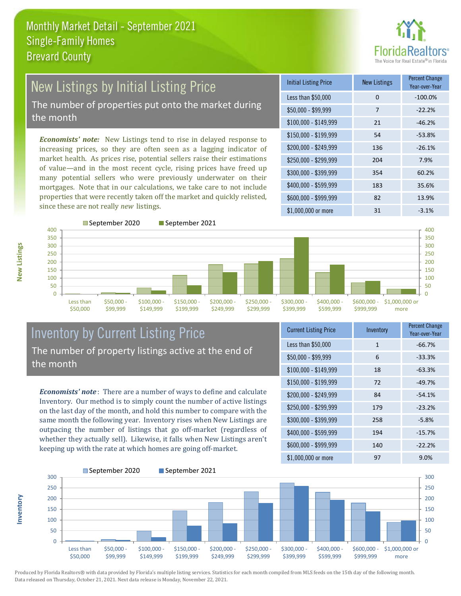

# New Listings by Initial Listing Price

The number of properties put onto the market during the month

*Economists' note:* New Listings tend to rise in delayed response to increasing prices, so they are often seen as a lagging indicator of market health. As prices rise, potential sellers raise their estimations of value—and in the most recent cycle, rising prices have freed up many potential sellers who were previously underwater on their mortgages. Note that in our calculations, we take care to not include properties that were recently taken off the market and quickly relisted, since these are not really *new* listings.

| <b>Initial Listing Price</b> | <b>New Listings</b> | <b>Percent Change</b><br>Year-over-Year |
|------------------------------|---------------------|-----------------------------------------|
| Less than \$50,000           | 0                   | $-100.0%$                               |
| $$50,000 - $99,999$          | 7                   | $-22.2%$                                |
| $$100,000 - $149,999$        | 21                  | $-46.2%$                                |
| $$150,000 - $199,999$        | 54                  | $-53.8%$                                |
| \$200,000 - \$249,999        | 136                 | $-26.1%$                                |
| \$250,000 - \$299,999        | 204                 | 7.9%                                    |
| \$300,000 - \$399,999        | 354                 | 60.2%                                   |
| \$400,000 - \$599,999        | 183                 | 35.6%                                   |
| \$600,000 - \$999,999        | 82                  | 13.9%                                   |
| $$1,000,000$ or more         | 31                  | $-3.1%$                                 |



#### Inventory by Current Listing Price The number of property listings active at the end of the month

*Economists' note* : There are a number of ways to define and calculate Inventory. Our method is to simply count the number of active listings on the last day of the month, and hold this number to compare with the same month the following year. Inventory rises when New Listings are outpacing the number of listings that go off-market (regardless of whether they actually sell). Likewise, it falls when New Listings aren't keeping up with the rate at which homes are going off-market.

| <b>Current Listing Price</b> | Inventory    | <b>Percent Change</b><br>Year-over-Year |
|------------------------------|--------------|-----------------------------------------|
| Less than \$50,000           | $\mathbf{1}$ | $-66.7%$                                |
| $$50,000 - $99,999$          | 6            | $-33.3%$                                |
| $$100,000 - $149,999$        | 18           | $-63.3%$                                |
| $$150,000 - $199,999$        | 72           | $-49.7%$                                |
| \$200,000 - \$249,999        | 84           | $-54.1%$                                |
| \$250,000 - \$299,999        | 179          | $-23.2%$                                |
| \$300,000 - \$399,999        | 258          | $-5.8%$                                 |
| \$400,000 - \$599,999        | 194          | $-15.7%$                                |
| \$600,000 - \$999,999        | 140          | $-22.2%$                                |
| \$1,000,000 or more          | 97           | 9.0%                                    |



Produced by Florida Realtors® with data provided by Florida's multiple listing services. Statistics for each month compiled from MLS feeds on the 15th day of the following month. Data released on Thursday, October 21, 2021. Next data release is Monday, November 22, 2021.

**Inventory**